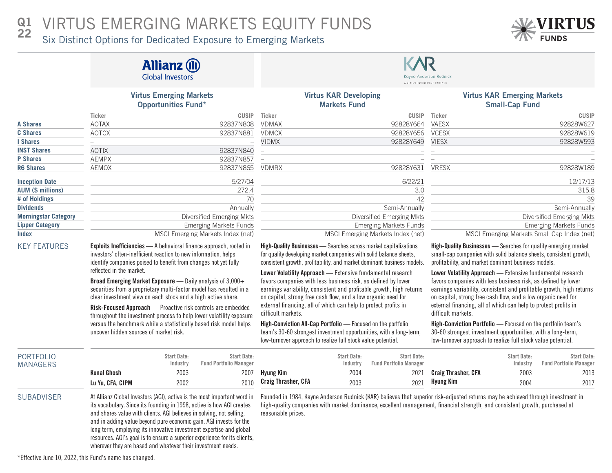### VIRTUS EMERGING MARKETS EQUITY FUNDS  $Q<sub>1</sub>$ 22

Six Distinct Options for Dedicated Exposure to Emerging Markets

|                                     |                                        | <b>Allianz (II)</b><br><b>Global Investors</b>                                                                                                                                                                                                                        |                                                                     | A VIRTUS INVESTMENT PARTNEI                                                                                                                                                                                                                                           |                                                     |                                                                                                                                                |                                                                                                                                                                                                                                                                                                                                                                                                                                                                                                                                                                                                                                                                                                                                                           |                                |                                                     |  |  |  |
|-------------------------------------|----------------------------------------|-----------------------------------------------------------------------------------------------------------------------------------------------------------------------------------------------------------------------------------------------------------------------|---------------------------------------------------------------------|-----------------------------------------------------------------------------------------------------------------------------------------------------------------------------------------------------------------------------------------------------------------------|-----------------------------------------------------|------------------------------------------------------------------------------------------------------------------------------------------------|-----------------------------------------------------------------------------------------------------------------------------------------------------------------------------------------------------------------------------------------------------------------------------------------------------------------------------------------------------------------------------------------------------------------------------------------------------------------------------------------------------------------------------------------------------------------------------------------------------------------------------------------------------------------------------------------------------------------------------------------------------------|--------------------------------|-----------------------------------------------------|--|--|--|
|                                     |                                        | <b>Virtus Emerging Markets</b><br><b>Opportunities Fund*</b>                                                                                                                                                                                                          |                                                                     |                                                                                                                                                                                                                                                                       | <b>Virtus KAR Developing</b><br><b>Markets Fund</b> |                                                                                                                                                | <b>Virtus KAR Emerging Markets</b><br><b>Small-Cap Fund</b>                                                                                                                                                                                                                                                                                                                                                                                                                                                                                                                                                                                                                                                                                               |                                |                                                     |  |  |  |
|                                     | Ticker                                 |                                                                                                                                                                                                                                                                       | <b>CUSIP</b>                                                        | Ticker                                                                                                                                                                                                                                                                |                                                     | <b>CUSIP</b>                                                                                                                                   | Ticker                                                                                                                                                                                                                                                                                                                                                                                                                                                                                                                                                                                                                                                                                                                                                    |                                | <b>CUSIP</b>                                        |  |  |  |
| <b>A Shares</b>                     | <b>AOTAX</b>                           |                                                                                                                                                                                                                                                                       | 92837N808                                                           | <b>VDMAX</b>                                                                                                                                                                                                                                                          |                                                     | 92828Y664                                                                                                                                      | VAESX                                                                                                                                                                                                                                                                                                                                                                                                                                                                                                                                                                                                                                                                                                                                                     |                                | 92828W627                                           |  |  |  |
| <b>C</b> Shares                     | <b>AOTCX</b>                           |                                                                                                                                                                                                                                                                       | 92837N881                                                           | <b>VDMCX</b>                                                                                                                                                                                                                                                          |                                                     | 92828Y656                                                                                                                                      | <b>VCESX</b>                                                                                                                                                                                                                                                                                                                                                                                                                                                                                                                                                                                                                                                                                                                                              |                                | 92828W619                                           |  |  |  |
| I Shares                            |                                        |                                                                                                                                                                                                                                                                       |                                                                     | <b>VIDMX</b>                                                                                                                                                                                                                                                          |                                                     | 92828Y649                                                                                                                                      | <b>VIESX</b>                                                                                                                                                                                                                                                                                                                                                                                                                                                                                                                                                                                                                                                                                                                                              |                                | 92828W593                                           |  |  |  |
| <b>INST Shares</b>                  | <b>AOTIX</b>                           |                                                                                                                                                                                                                                                                       | 92837N840                                                           | $\overline{\phantom{0}}$                                                                                                                                                                                                                                              |                                                     |                                                                                                                                                |                                                                                                                                                                                                                                                                                                                                                                                                                                                                                                                                                                                                                                                                                                                                                           |                                |                                                     |  |  |  |
| <b>P</b> Shares                     | <b>AEMPX</b>                           |                                                                                                                                                                                                                                                                       | 92837N857                                                           | $\overline{\phantom{0}}$                                                                                                                                                                                                                                              |                                                     |                                                                                                                                                |                                                                                                                                                                                                                                                                                                                                                                                                                                                                                                                                                                                                                                                                                                                                                           |                                |                                                     |  |  |  |
| <b>R6 Shares</b>                    | <b>AEMOX</b>                           |                                                                                                                                                                                                                                                                       | 92837N865                                                           | <b>VDMRX</b>                                                                                                                                                                                                                                                          |                                                     | 92828Y631                                                                                                                                      | <b>VRESX</b>                                                                                                                                                                                                                                                                                                                                                                                                                                                                                                                                                                                                                                                                                                                                              |                                | 92828W189                                           |  |  |  |
| <b>Inception Date</b>               |                                        |                                                                                                                                                                                                                                                                       | 5/27/04                                                             |                                                                                                                                                                                                                                                                       |                                                     | 6/22/21                                                                                                                                        |                                                                                                                                                                                                                                                                                                                                                                                                                                                                                                                                                                                                                                                                                                                                                           |                                | 12/17/13                                            |  |  |  |
| <b>AUM (\$ millions)</b>            |                                        |                                                                                                                                                                                                                                                                       | 272.4                                                               |                                                                                                                                                                                                                                                                       |                                                     | 3.0                                                                                                                                            |                                                                                                                                                                                                                                                                                                                                                                                                                                                                                                                                                                                                                                                                                                                                                           |                                | 315.8                                               |  |  |  |
| # of Holdings                       |                                        |                                                                                                                                                                                                                                                                       | 70                                                                  |                                                                                                                                                                                                                                                                       |                                                     | 42                                                                                                                                             |                                                                                                                                                                                                                                                                                                                                                                                                                                                                                                                                                                                                                                                                                                                                                           |                                | 39                                                  |  |  |  |
| <b>Dividends</b>                    |                                        |                                                                                                                                                                                                                                                                       | Annually                                                            |                                                                                                                                                                                                                                                                       |                                                     | Semi-Annually                                                                                                                                  |                                                                                                                                                                                                                                                                                                                                                                                                                                                                                                                                                                                                                                                                                                                                                           |                                | Semi-Annually                                       |  |  |  |
| <b>Morningstar Category</b>         |                                        |                                                                                                                                                                                                                                                                       | Diversified Emerging Mkts                                           |                                                                                                                                                                                                                                                                       |                                                     | Diversified Emerging Mkts                                                                                                                      | Diversified Emerging Mkts                                                                                                                                                                                                                                                                                                                                                                                                                                                                                                                                                                                                                                                                                                                                 |                                |                                                     |  |  |  |
| <b>Lipper Category</b>              |                                        |                                                                                                                                                                                                                                                                       | <b>Emerging Markets Funds</b>                                       |                                                                                                                                                                                                                                                                       |                                                     | <b>Emerging Markets Funds</b>                                                                                                                  |                                                                                                                                                                                                                                                                                                                                                                                                                                                                                                                                                                                                                                                                                                                                                           |                                | <b>Emerging Markets Funds</b>                       |  |  |  |
| <b>Index</b>                        |                                        |                                                                                                                                                                                                                                                                       | MSCI Emerging Markets Index (net)                                   |                                                                                                                                                                                                                                                                       |                                                     | MSCI Emerging Markets Index (net)                                                                                                              |                                                                                                                                                                                                                                                                                                                                                                                                                                                                                                                                                                                                                                                                                                                                                           |                                | MSCI Emerging Markets Small Cap Index (net)         |  |  |  |
| <b>KEY FEATURES</b>                 | reflected in the market.               | investors' often-inefficient reaction to new information, helps<br>identify companies poised to benefit from changes not yet fully<br>Broad Emerging Market Exposure - Daily analysis of 3,000+<br>securities from a proprietary multi-factor model has resulted in a | Exploits Inefficiencies - A behavioral finance approach, rooted in  | High-Quality Businesses - Searches across market capitalizations<br>for quality developing market companies with solid balance sheets,<br>Lower Volatility Approach - Extensive fundamental research<br>favors companies with less business risk, as defined by lower |                                                     | consistent growth, profitability, and market dominant business models.<br>earnings variability, consistent and profitable growth, high returns | High-Quality Businesses - Searches for quality emerging market<br>small-cap companies with solid balance sheets, consistent growth,<br>profitability, and market dominant business models.<br>Lower Volatility Approach - Extensive fundamental research<br>favors companies with less business risk, as defined by lower<br>earnings variability, consistent and profitable growth, high returns<br>on capital, strong free cash flow, and a low organic need for<br>external financing, all of which can help to protect profits in<br>difficult markets.<br>High-Conviction Portfolio - Focused on the portfolio team's<br>30-60 strongest investment opportunities, with a long-term,<br>low-turnover approach to realize full stock value potential. |                                |                                                     |  |  |  |
|                                     |                                        | clear investment view on each stock and a high active share.<br>Risk-Focused Approach - Proactive risk controls are embedded                                                                                                                                          | throughout the investment process to help lower volatility exposure | on capital, strong free cash flow, and a low organic need for<br>external financing, all of which can help to protect profits in<br>difficult markets.                                                                                                                |                                                     |                                                                                                                                                |                                                                                                                                                                                                                                                                                                                                                                                                                                                                                                                                                                                                                                                                                                                                                           |                                |                                                     |  |  |  |
|                                     | uncover hidden sources of market risk. |                                                                                                                                                                                                                                                                       | versus the benchmark while a statistically based risk model helps   | High-Conviction All-Cap Portfolio - Focused on the portfolio<br>team's 30-60 strongest investment opportunities, with a long-term,<br>low-turnover approach to realize full stock value potential.                                                                    |                                                     |                                                                                                                                                |                                                                                                                                                                                                                                                                                                                                                                                                                                                                                                                                                                                                                                                                                                                                                           |                                |                                                     |  |  |  |
| <b>PORTFOLIO</b><br><b>MANAGERS</b> |                                        | <b>Start Date:</b><br>Industry                                                                                                                                                                                                                                        | <b>Start Date:</b><br><b>Fund Portfolio Manager</b>                 |                                                                                                                                                                                                                                                                       | <b>Start Date:</b><br>Industry                      | <b>Start Date:</b><br><b>Fund Portfolio Manager</b>                                                                                            |                                                                                                                                                                                                                                                                                                                                                                                                                                                                                                                                                                                                                                                                                                                                                           | <b>Start Date:</b><br>Industry | <b>Start Date:</b><br><b>Fund Portfolio Manager</b> |  |  |  |
|                                     | <b>Kunal Ghosh</b>                     | 2003                                                                                                                                                                                                                                                                  | 2007                                                                | <b>Hyung Kim</b>                                                                                                                                                                                                                                                      | 2004                                                | 2021                                                                                                                                           | <b>Craig Thrasher, CFA</b>                                                                                                                                                                                                                                                                                                                                                                                                                                                                                                                                                                                                                                                                                                                                | 2003                           | 2013                                                |  |  |  |

Craig Thrasher, CFA

Lu Yu, CFA, CIPM 2002 2010 SUBADVISER At Allianz Global Investors (AGI), active is the most important word in its vocabulary. Since its founding in 1998, active is how AGI creates and shares value with clients. AGI believes in solving, not selling, and in adding value beyond pure economic gain. AGI invests for the long term, employing its innovative investment expertise and global resources. AGI's goal is to ensure a superior experience for its clients,

wherever they are based and whatever their investment needs.

Founded in 1984, Kayne Anderson Rudnick (KAR) believes that superior risk-adjusted returns may be achieved through investment in high-quality companies with market dominance, excellent management, financial strength, and consistent growth, purchased at reasonable prices.

2021

Hyung Kim

2004

2017

2003

\*Effective June 10, 2022, this Fund's name has changed.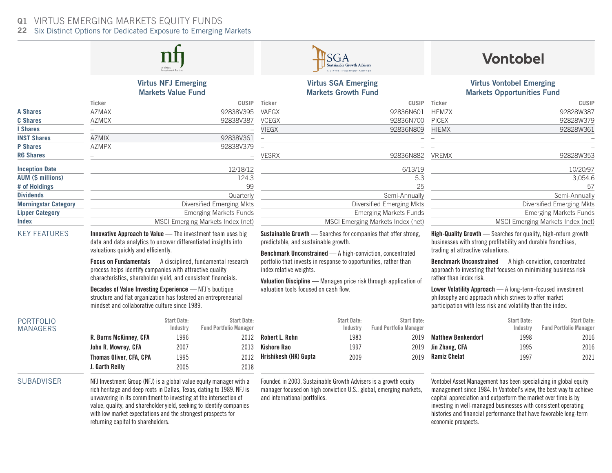### VIRTUS EMERGING MARKETS EQUITY FUNDS  $Q1$

22 Six Distinct Options for Dedicated Exposure to Emerging Markets

## Virtus NFJ Emerging Markets Value Fund

data and data analytics to uncover differentiated insights into

Focus on Fundamentals — A disciplined, fundamental research process helps identify companies with attractive quality characteristics, shareholder yield, and consistent financials. Decades of Value Investing Experience — NFJ's boutique structure and flat organization has fostered an entrepreneurial

|                             | Ticker       | CUSIP                             | Ticker       | CUSIP                             | Ticker       | <b>CUSIP</b>                      |
|-----------------------------|--------------|-----------------------------------|--------------|-----------------------------------|--------------|-----------------------------------|
| <b>A Shares</b>             | <b>AZMAX</b> | 92838V395                         | VAEGX        | 92836N601                         | <b>HEMZX</b> | 92828W387                         |
| <b>C</b> Shares             | <b>AZMCX</b> | 92838V387                         | <b>VCEGX</b> | 92836N700                         | <b>PICEX</b> | 92828W379                         |
| I Shares                    |              |                                   | <b>VIEGX</b> | 92836N809                         | <b>HIEMX</b> | 92828W361                         |
| <b>INST Shares</b>          | <b>AZMIX</b> | 92838V361                         |              |                                   |              |                                   |
| <b>P</b> Shares             | <b>AZMPX</b> | 92838V379                         |              |                                   |              |                                   |
| <b>R6 Shares</b>            |              |                                   | <b>VESRX</b> | 92836N882                         | <b>VREMX</b> | 92828W353                         |
| <b>Inception Date</b>       |              | 12/18/12                          |              | 6/13/19                           |              | 10/20/97                          |
| <b>AUM (\$ millions)</b>    |              | 124.3                             |              | 5.3                               |              | 3,054.6                           |
| # of Holdings               |              | 99                                |              | 25                                |              | 57                                |
| <b>Dividends</b>            |              | Quarterly                         |              | Semi-Annually                     |              | Semi-Annually                     |
| <b>Morningstar Category</b> |              | Diversified Emerging Mkts         |              | Diversified Emerging Mkts         |              | Diversified Emerging Mkts         |
| <b>Lipper Category</b>      |              | <b>Emerging Markets Funds</b>     |              | Emerging Markets Funds            |              | <b>Emerging Markets Funds</b>     |
| <b>Index</b>                |              | MSCI Emerging Markets Index (net) |              | MSCI Emerging Markets Index (net) |              | MSCI Emerging Markets Index (net) |

KEY FEATURES **Innovative Approach to Value** — The investment team uses big

valuations quickly and efficiently.

# Virtus SGA Emerging Markets Growth Fund

| <b>CUSIP</b>                      |
|-----------------------------------|
| 92836N601                         |
| 92836N700                         |
| 92836N809                         |
|                                   |
|                                   |
| 92836N882                         |
| 6/13/19                           |
| 5.3                               |
| 25                                |
| Semi-Annually                     |
| Diversified Emerging Mkts         |
| <b>Emerging Markets Funds</b>     |
| MSCI Emerging Markets Index (net) |
|                                   |

Sustainable Growth - Searches for companies that offer strong, predictable, and sustainable growth.

Benchmark Unconstrained — A high-conviction, concentrated portfolio that invests in response to opportunities, rather than index relative weights.

Valuation Discipline — Manages price risk through application of valuation tools focused on cash flow.

# **Vontobel**

## Virtus Vontobel Emerging Markets Opportunities Fund

| <b>Ticker</b> | <b>CUSIP</b>                      |
|---------------|-----------------------------------|
| <b>HEMZX</b>  | 92828W387                         |
| <b>PICEX</b>  | 92828W379                         |
| <b>HIEMX</b>  | 92828W361                         |
|               |                                   |
|               |                                   |
| <b>VREMX</b>  | 92828W353                         |
|               | 10/20/97                          |
|               | 3,054.6                           |
|               | 57                                |
|               | Semi-Annually                     |
|               | Diversified Emerging Mkts         |
|               | <b>Emerging Markets Funds</b>     |
|               | MSCI Emerging Markets Index (net) |

High-Quality Growth — Searches for quality, high-return growth businesses with strong profitability and durable franchises, trading at attractive valuations.

Benchmark Unconstrained — A high-conviction, concentrated approach to investing that focuses on minimizing business risk rather than index risk.

Lower Volatility Approach — A long-term-focused investment philosophy and approach which strives to offer market participation with less risk and volatility than the index.

> Start Date: Industry

> > 1998 1995 1997

Start Date:

2016 2016 2021

Fund Portfolio Manager

| <b>PORTFOLIO</b><br><b>MANAGERS</b> |                                | Start Date:<br>Industry | Start Date:<br><b>Fund Portfolio Manager</b> |              |
|-------------------------------------|--------------------------------|-------------------------|----------------------------------------------|--------------|
|                                     | R. Burns McKinney, CFA         | 1996                    | 2012                                         | Robe         |
|                                     | John R. Mowrey, CFA            | 2007                    | 2013                                         | Kisho        |
|                                     | <b>Thomas Oliver, CFA, CPA</b> | 1995                    | 2012                                         | <b>Hrish</b> |
|                                     | J. Garth Reilly                | 2005                    | 2018                                         |              |

mindset and collaborative culture since 1989.

### Start Date: Industry Start Date: Fund Portfolio Manager Robert L. Rohn ore Rao ikesh (HK) Gupta 1983 1997 2009

### SUBADVISER NFJ Investment Group (NFJ) is a global value equity manager with a rich heritage and deep roots in Dallas, Texas, dating to 1989. NFJ is unwavering in its commitment to investing at the intersection of value, quality, and shareholder yield, seeking to identify companies with low market expectations and the strongest prospects for returning capital to shareholders.

Founded in 2003, Sustainable Growth Advisers is a growth equity manager focused on high conviction U.S., global, emerging markets, and international portfolios.

2019 2019 2019

Matthew Benkendorf Jin Zhang, CFA Ramiz Chelat

Vontobel Asset Management has been specializing in global equity management since 1984. In Vontobel's view, the best way to achieve capital appreciation and outperform the market over time is by investing in well-managed businesses with consistent operating histories and financial performance that have favorable long-term economic prospects.